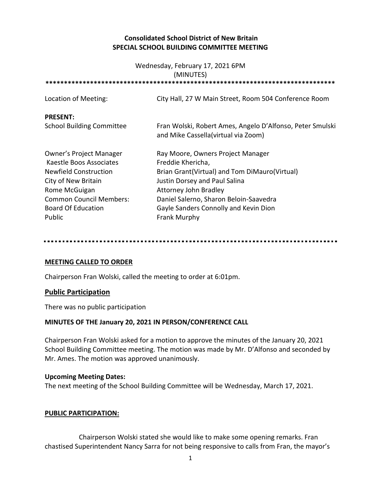## **Consolidated School District of New Britain SPECIAL SCHOOL BUILDING COMMITTEE MEETING**

# Wednesday, February 17, 2021 6PM (MINUTES) **\*\*\*\*\*\*\*\*\*\*\*\*\*\*\*\*\*\*\*\*\*\*\*\*\*\*\*\*\*\*\*\*\*\*\*\*\*\*\*\*\*\*\*\*\*\*\*\*\*\*\*\*\*\*\*\*\*\*\*\*\*\*\*\*\*\*\*\*\*\*\*\*\*\*\*\*\*\*** Location of Meeting: City Hall, 27 W Main Street, Room 504 Conference Room **PRESENT:** School Building Committee Fran Wolski, Robert Ames, Angelo D'Alfonso, Peter Smulski and Mike Cassella(virtual via Zoom) Owner's Project Manager Ray Moore, Owners Project Manager Kaestle Boos Associates Freddie Khericha, Newfield Construction Brian Grant(Virtual) and Tom DiMauro(Virtual) City of New Britain **Justin Dorsey and Paul Salina** Rome McGuigan **Attorney John Bradley** Common Council Members: Daniel Salerno, Sharon Beloin-Saavedra Board Of Education Gayle Sanders Connolly and Kevin Dion Public **Frank Murphy**

### **MEETING CALLED TO ORDER**

Chairperson Fran Wolski, called the meeting to order at 6:01pm.

### **Public Participation**

There was no public participation

### **MINUTES OF THE January 20, 2021 IN PERSON/CONFERENCE CALL**

Chairperson Fran Wolski asked for a motion to approve the minutes of the January 20, 2021 School Building Committee meeting. The motion was made by Mr. D'Alfonso and seconded by Mr. Ames. The motion was approved unanimously.

### **Upcoming Meeting Dates:**

The next meeting of the School Building Committee will be Wednesday, March 17, 2021.

### **PUBLIC PARTICIPATION:**

Chairperson Wolski stated she would like to make some opening remarks. Fran chastised Superintendent Nancy Sarra for not being responsive to calls from Fran, the mayor's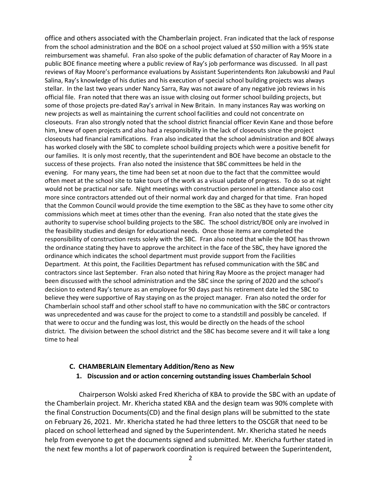office and others associated with the Chamberlain project. Fran indicated that the lack of response from the school administration and the BOE on a school project valued at \$50 million with a 95% state reimbursement was shameful. Fran also spoke of the public defamation of character of Ray Moore in a public BOE finance meeting where a public review of Ray's job performance was discussed. In all past reviews of Ray Moore's performance evaluations by Assistant Superintendents Ron Jakubowski and Paul Salina, Ray's knowledge of his duties and his execution of special school building projects was always stellar. In the last two years under Nancy Sarra, Ray was not aware of any negative job reviews in his official file. Fran noted that there was an issue with closing out former school building projects, but some of those projects pre-dated Ray's arrival in New Britain. In many instances Ray was working on new projects as well as maintaining the current school facilities and could not concentrate on closeouts. Fran also strongly noted that the school district financial officer Kevin Kane and those before him, knew of open projects and also had a responsibility in the lack of closeouts since the project closeouts had financial ramifications. Fran also indicated that the school administration and BOE always has worked closely with the SBC to complete school building projects which were a positive benefit for our families. It is only most recently, that the superintendent and BOE have become an obstacle to the success of these projects. Fran also noted the insistence that SBC committees be held in the evening. For many years, the time had been set at noon due to the fact that the committee would often meet at the school site to take tours of the work as a visual update of progress. To do so at night would not be practical nor safe. Night meetings with construction personnel in attendance also cost more since contractors attended out of their normal work day and charged for that time. Fran hoped that the Common Council would provide the time exemption to the SBC as they have to some other city commissions which meet at times other than the evening. Fran also noted that the state gives the authority to supervise school building projects to the SBC. The school district/BOE only are involved in the feasibility studies and design for educational needs. Once those items are completed the responsibility of construction rests solely with the SBC. Fran also noted that while the BOE has thrown the ordinance stating they have to approve the architect in the face of the SBC, they have ignored the ordinance which indicates the school department must provide support from the Facilities Department. At this point, the Facilities Department has refused communication with the SBC and contractors since last September. Fran also noted that hiring Ray Moore as the project manager had been discussed with the school administration and the SBC since the spring of 2020 and the school's decision to extend Ray's tenure as an employee for 90 days past his retirement date led the SBC to believe they were supportive of Ray staying on as the project manager. Fran also noted the order for Chamberlain school staff and other school staff to have no communication with the SBC or contractors was unprecedented and was cause for the project to come to a standstill and possibly be canceled. If that were to occur and the funding was lost, this would be directly on the heads of the school district. The division between the school district and the SBC has become severe and it will take a long time to heal

### **C. CHAMBERLAIN Elementary Addition/Reno as New**

#### **1. Discussion and or action concerning outstanding issues Chamberlain School**

Chairperson Wolski asked Fred Khericha of KBA to provide the SBC with an update of the Chamberlain project. Mr. Khericha stated KBA and the design team was 90% complete with the final Construction Documents(CD) and the final design plans will be submitted to the state on February 26, 2021. Mr. Khericha stated he had three letters to the OSCGR that need to be placed on school letterhead and signed by the Superintendent. Mr. Khericha stated he needs help from everyone to get the documents signed and submitted. Mr. Khericha further stated in the next few months a lot of paperwork coordination is required between the Superintendent,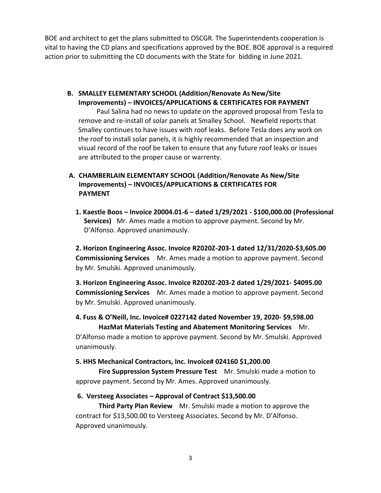BOE and architect to get the plans submitted to OSCGR. The Superintendents cooperation is vital to having the CD plans and specifications approved by the BOE. BOE approval is a required action prior to submitting the CD documents with the State for bidding in June 2021.

**B. SMALLEY ELEMENTARY SCHOOL (Addition/Renovate As New/Site Improvements) – INVOICES/APPLICATIONS & CERTIFICATES FOR PAYMENT**

Paul Salina had no news to update on the approved proposal from Tesla to remove and re-install of solar panels at Smalley School. Newfield reports that Smalley continues to have issues with roof leaks. Before Tesla does any work on the roof to install solar panels, it is highly recommended that an inspection and visual record of the roof be taken to ensure that any future roof leaks or issues are attributed to the proper cause or warrenty.

# **A. CHAMBERLAIN ELEMENTARY SCHOOL (Addition/Renovate As New/Site Improvements) – INVOICES/APPLICATIONS & CERTIFICATES FOR PAYMENT**

**1. Kaestle Boos – Invoice 20004.01-6 – dated 1/29/2021 - \$100,000.00 (Professional Services)** Mr. Ames made a motion to approve payment. Second by Mr. D'Alfonso. Approved unanimously.

**2. Horizon Engineering Assoc. Invoice R2020Z-203-1 dated 12/31/2020-\$3,605.00 Commissioning Services** Mr. Ames made a motion to approve payment. Second by Mr. Smulski. Approved unanimously.

**3. Horizon Engineering Assoc. Invoice R2020Z-203-2 dated 1/29/2021- \$4095.00 Commissioning Services** Mr. Ames made a motion to approve payment. Second by Mr. Smulski. Approved unanimously.

### **4. Fuss & O'Neill, Inc. Invoice# 0227142 dated November 19, 2020- \$9,598.00 HazMat Materials Testing and Abatement Monitoring Services** Mr.

D'Alfonso made a motion to approve payment. Second by Mr. Smulski. Approved unanimously.

### **5. HHS Mechanical Contractors, Inc. Invoice# 024160 \$1,200.00**

**Fire Suppression System Pressure Test** Mr. Smulski made a motion to approve payment. Second by Mr. Ames. Approved unanimously.

### **6. Versteeg Associates – Approval of Contract \$13,500.00**

**Third Party Plan Review** Mr. Smulski made a motion to approve the contract for \$13,500.00 to Versteeg Associates. Second by Mr. D'Alfonso. Approved unanimously.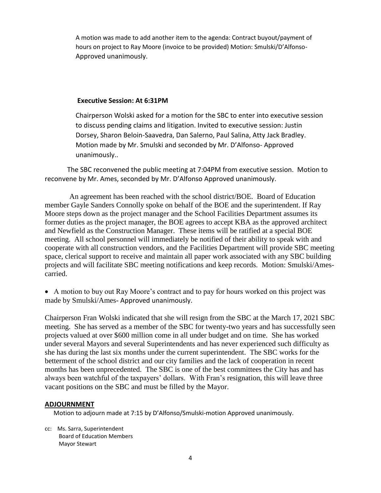A motion was made to add another item to the agenda: Contract buyout/payment of hours on project to Ray Moore (invoice to be provided) Motion: Smulski/D'Alfonso-Approved unanimously.

### **Executive Session: At 6:31PM**

Chairperson Wolski asked for a motion for the SBC to enter into executive session to discuss pending claims and litigation. Invited to executive session: Justin Dorsey, Sharon Beloin-Saavedra, Dan Salerno, Paul Salina, Atty Jack Bradley. Motion made by Mr. Smulski and seconded by Mr. D'Alfonso- Approved unanimously..

The SBC reconvened the public meeting at 7:04PM from executive session. Motion to reconvene by Mr. Ames, seconded by Mr. D'Alfonso Approved unanimously.

An agreement has been reached with the school district/BOE. Board of Education member Gayle Sanders Connolly spoke on behalf of the BOE and the superintendent. If Ray Moore steps down as the project manager and the School Facilities Department assumes its former duties as the project manager, the BOE agrees to accept KBA as the approved architect and Newfield as the Construction Manager. These items will be ratified at a special BOE meeting. All school personnel will immediately be notified of their ability to speak with and cooperate with all construction vendors, and the Facilities Department will provide SBC meeting space, clerical support to receive and maintain all paper work associated with any SBC building projects and will facilitate SBC meeting notifications and keep records. Motion: Smulski/Amescarried.

 A motion to buy out Ray Moore's contract and to pay for hours worked on this project was made by Smulski/Ames- Approved unanimously.

Chairperson Fran Wolski indicated that she will resign from the SBC at the March 17, 2021 SBC meeting. She has served as a member of the SBC for twenty-two years and has successfully seen projects valued at over \$600 million come in all under budget and on time. She has worked under several Mayors and several Superintendents and has never experienced such difficulty as she has during the last six months under the current superintendent. The SBC works for the betterment of the school district and our city families and the lack of cooperation in recent months has been unprecedented. The SBC is one of the best committees the City has and has always been watchful of the taxpayers' dollars. With Fran's resignation, this will leave three vacant positions on the SBC and must be filled by the Mayor.

### **ADJOURNMENT**

Motion to adjourn made at 7:15 by D'Alfonso/Smulski-motion Approved unanimously.

cc: Ms. Sarra, Superintendent Board of Education Members Mayor Stewart